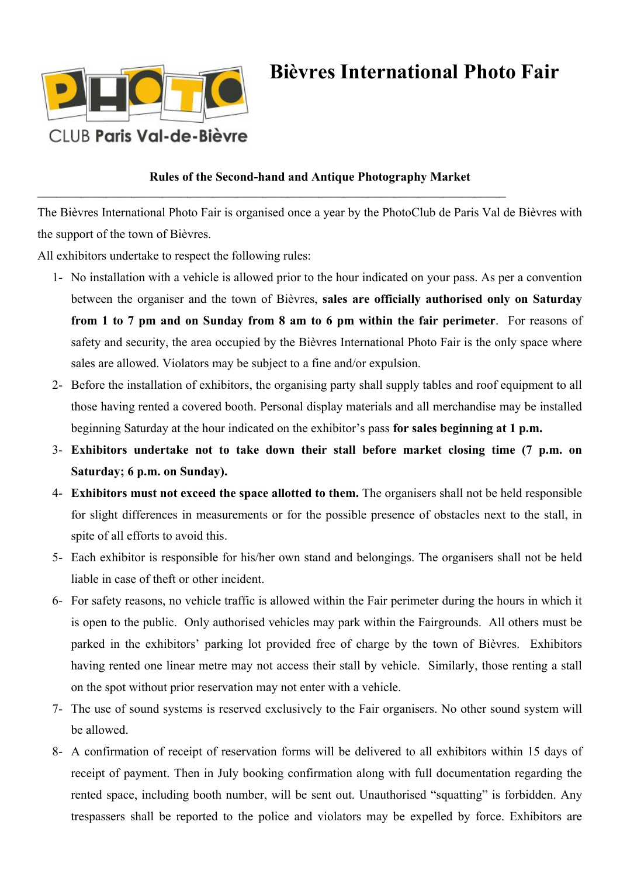

## **Bièvres International Photo Fair**

## **Rules of the Second-hand and Antique Photography Market**

\_\_\_\_\_\_\_\_\_\_\_\_\_\_\_\_\_\_\_\_\_\_\_\_\_\_\_\_\_\_\_\_\_\_\_\_\_\_\_\_\_\_\_\_\_\_\_\_\_\_\_\_\_\_\_\_\_\_\_\_\_\_\_\_\_\_\_\_\_\_\_\_\_\_\_

The Bièvres International Photo Fair is organised once a year by the PhotoClub de Paris Val de Bièvres with the support of the town of Bièvres.

All exhibitors undertake to respect the following rules:

- 1- No installation with a vehicle is allowed prior to the hour indicated on your pass. As per a convention between the organiser and the town of Bièvres, **sales are officially authorised only on Saturday from 1 to 7 pm and on Sunday from 8 am to 6 pm within the fair perimeter**. For reasons of safety and security, the area occupied by the Bièvres International Photo Fair is the only space where sales are allowed. Violators may be subject to a fine and/or expulsion.
- 2- Before the installation of exhibitors, the organising party shall supply tables and roof equipment to all those having rented a covered booth. Personal display materials and all merchandise may be installed beginning Saturday at the hour indicated on the exhibitor's pass **for sales beginning at 1 p.m.**
- 3- **Exhibitors undertake not to take down their stall before market closing time (7 p.m. on Saturday; 6 p.m. on Sunday).**
- 4- **Exhibitors must not exceed the space allotted to them.** The organisers shall not be held responsible for slight differences in measurements or for the possible presence of obstacles next to the stall, in spite of all efforts to avoid this.
- 5- Each exhibitor is responsible for his/her own stand and belongings. The organisers shall not be held liable in case of theft or other incident.
- 6- For safety reasons, no vehicle traffic is allowed within the Fair perimeter during the hours in which it is open to the public. Only authorised vehicles may park within the Fairgrounds. All others must be parked in the exhibitors' parking lot provided free of charge by the town of Bièvres. Exhibitors having rented one linear metre may not access their stall by vehicle. Similarly, those renting a stall on the spot without prior reservation may not enter with a vehicle.
- 7- The use of sound systems is reserved exclusively to the Fair organisers. No other sound system will be allowed.
- 8- A confirmation of receipt of reservation forms will be delivered to all exhibitors within 15 days of receipt of payment. Then in July booking confirmation along with full documentation regarding the rented space, including booth number, will be sent out. Unauthorised "squatting" is forbidden. Any trespassers shall be reported to the police and violators may be expelled by force. Exhibitors are